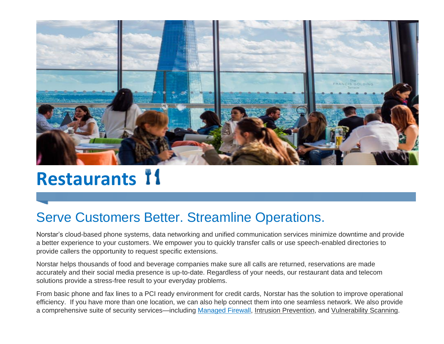

# **Restaurants**

## Serve Customers Better. Streamline Operations.

Norstar's cloud-based phone systems, data networking and unified communication services minimize downtime and provide a better experience to your customers. We empower you to quickly transfer calls or use speech-enabled directories to provide callers the opportunity to request specific extensions.

Norstar helps thousands of food and beverage companies make sure all calls are returned, reservations are made accurately and their social media presence is up-to-date. Regardless of your needs, our restaurant data and telecom solutions provide a stress-free result to your everyday problems.

From basic phone and fax lines to a PCI ready environment for credit cards, Norstar has the solution to improve operational efficiency. If you have more than one location, we can also help connect them into one seamless network. We also provide a comprehensive suite of security services—including [Managed](http://www.norstartelecom.com/security/firewall/) Firewall, Intrusion Prevention, and Vulnerability Scanning.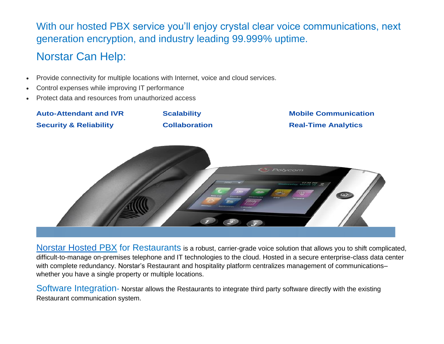With our hosted PBX service you'll enjoy crystal clear voice communications, next generation encryption, and industry leading 99.999% uptime. Norstar Can Help:

- Provide connectivity for multiple locations with Internet, voice and cloud services.
- Control expenses while improving IT performance
- Protect data and resources from unauthorized access



[Norstar](http://www.norstartelecom.com/voice/hosted-pbx.html) Hosted PBX for Restaurants is a robust, carrier-grade voice solution that allows you to shift complicated, difficult-to-manage on-premises telephone and IT technologies to the cloud. Hosted in a secure enterprise-class data center with complete redundancy. Norstar's Restaurant and hospitality platform centralizes management of communications– whether you have a single property or multiple locations.

Software Integration- Norstar allows the Restaurants to integrate third party software directly with the existing Restaurant communication system.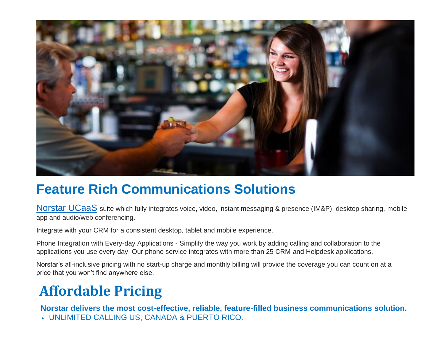

## **Feature Rich Communications Solutions**

[Norstar UCaaS](http://www.norstartelecom.com/voice/unified-communications.html) suite which fully integrates voice, video, instant messaging & presence (IM&P), desktop sharing, mobile app and audio/web conferencing.

Integrate with your CRM for a consistent desktop, tablet and mobile experience.

Phone Integration with Every-day Applications - Simplify the way you work by adding calling and collaboration to the applications you use every day. Our phone service integrates with more than 25 CRM and Helpdesk applications.

Norstar's all-inclusive pricing with no start-up charge and monthly billing will provide the coverage you can count on at a price that you won't find anywhere else.

## **Affordable Pricing**

 **Norstar delivers the most cost-effective, reliable, feature-filled business communications solution.** • UNLIMITED CALLING US, CANADA & PUERTO RICO.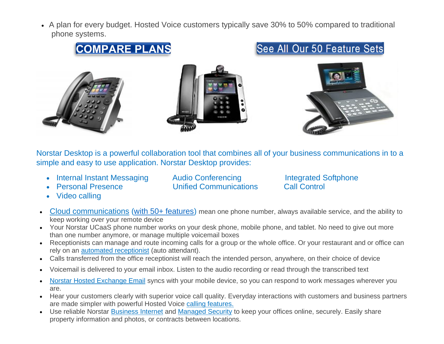• A plan for every budget. Hosted Voice customers typically save 30% to 50% compared to traditional phone systems.



Norstar Desktop is a powerful collaboration tool that combines all of your business communications in to a simple and easy to use application. Norstar Desktop provides:

- Internal Instant Messaging Audio Conferencing Integrated Softphone
- 
- Video calling

• Personal Presence **Call Communications** Call Control

- [Cloud communications](https://www.norstartelecom.com/voice/unified-communications/) [\(with 50+ features\)](http://www.norstartelecom.com/voice/ucaas-features/) mean one phone number, always available service, and the ability to keep working over your remote device
- Your Norstar UCaaS phone number works on your desk phone, mobile phone, and tablet. No need to give out more than one number anymore, or manage multiple voicemail boxes
- Receptionists can manage and route incoming calls for a group or the whole office. Or your restaurant and or office can rely on an [automated receptionist](https://www.norstartelecom.com/voice/hosted-pbx/features/) (auto attendant).
- Calls transferred from the office receptionist will reach the intended person, anywhere, on their choice of device
- Voicemail is delivered to your email inbox. Listen to the audio recording or read through the transcribed text
- [Norstar Hosted Exchange Email](https://www.norstartelecom.com/cloud-it/hosted-exchange/) syncs with your mobile device, so you can respond to work messages wherever you are.
- Hear your customers clearly with superior voice call quality. Everyday interactions with customers and business partners are made simpler with powerful Hosted Voice [calling features.](https://www.norstartelecom.com/voice/hosted-pbx/features/)
- Use reliable Norstar [Business Internet](https://www.norstartelecom.com/data&networking/business-internet/) and [Managed Security](https://www.norstartelecom.com/managed-services/firewall&utm/) to keep your offices online, securely. Easily share property information and photos, or contracts between locations.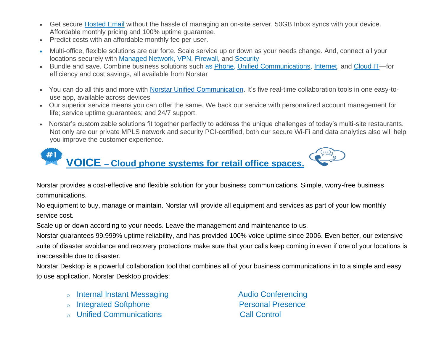- Get secure [Hosted Email](https://www.megapath.com/cloud-it/hosted-exchange/) without the hassle of managing an on-site server. 50GB Inbox syncs with your device. Affordable monthly pricing and 100% uptime guarantee.
- Predict costs with an affordable monthly fee per user.
- Multi-office, flexible solutions are our forte. Scale service up or down as your needs change. And, connect all your locations securely with [Managed Network,](https://www.norstartelecom.com/managed-services/managed-network-services/) [VPN,](https://www.norstartelecom.com/network&datay/ipsec-vpn/) [Firewall,](https://www.megapath.com/security/firewall-utm/) and [Security](https://www.norstartelecom.com/managed-services/firewall&utm/)
- Bundle and save. Combine business solutions such as [Phone,](https://www.norstartelecom.com/voice/hosted-pbx/) [Unified Communications,](https://www.norstatelecom.com/voice/unified-communications/) [Internet,](https://www.norstartelecom.com/data&networking/business-internet/) and [Cloud IT—](https://www.norstartelecom.com/managed-cloud-it/)for efficiency and cost savings, all available from Norstar
- You can do all this and more with [Norstar Unified Communication.](http://www.norstartelecom.com/voice/unified-communications) It's five real-time collaboration tools in one easy-touse app, available across devices
- Our superior service means you can offer the same. We back our service with personalized account management for life; service uptime guarantees; and 24/7 support.
- Norstar's customizable solutions fit together perfectly to address the unique challenges of today's multi-site restaurants. Not only are our private MPLS network and security PCI-certified, both our secure Wi-Fi and data analytics also will help you improve the customer experience.



Norstar provides a cost-effective and flexible solution for your business communications. Simple, worry-free business communications.

No equipment to buy, manage or maintain. Norstar will provide all equipment and services as part of your low monthly service cost.

Scale up or down according to your needs. Leave the management and maintenance to us.

Norstar guarantees 99.999% uptime reliability, and has provided 100% voice uptime since 2006. Even better, our extensive suite of disaster avoidance and recovery protections make sure that your calls keep coming in even if one of your locations is inaccessible due to disaster.

Norstar Desktop is a powerful collaboration tool that combines all of your business communications in to a simple and easy to use application. Norstar Desktop provides:

- o Internal Instant Messaging **Audio Conferencing**
- o Integrated Softphone **Personal Presence**
- o Unified Communications Call Control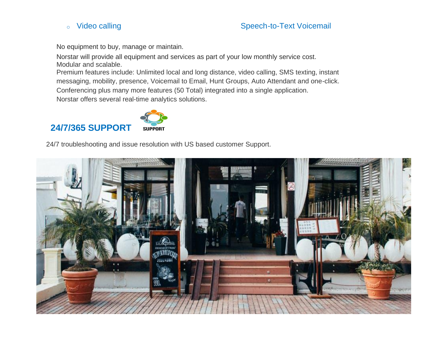#### o Video calling Speech-to-Text Voicemail

No equipment to buy, manage or maintain.

Norstar will provide all equipment and services as part of your low monthly service cost. Modular and scalable.

Premium features include: Unlimited local and long distance, video calling, SMS texting, instant messaging, mobility, presence, Voicemail to Email, Hunt Groups, Auto Attendant and one-click. Conferencing plus many more features (50 Total) integrated into a single application.

Norstar offers several real-time analytics solutions.

#### **24/7/365 SUPPORT**



24/7 troubleshooting and issue resolution with US based customer Support.

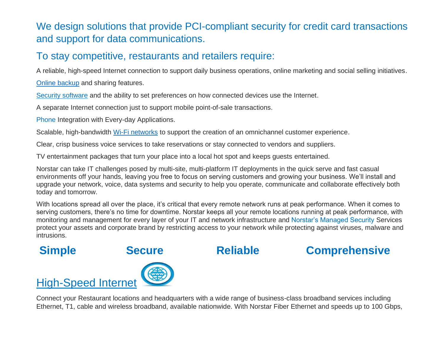#### We design solutions that provide PCI-compliant security for credit card transactions and support for data communications.

#### To stay competitive, restaurants and retailers require:

A reliable, high-speed Internet connection to support daily business operations, online marketing and social selling initiatives.

[Online backup](http://www.norstartelecom.com/managed-services/cloud-backup.html) and sharing features.

Security software and the ability to set preferences on how connected devices use the Internet.

A separate Internet connection just to support mobile point-of-sale transactions.

Phone Integration with Every-day Applications.

Scalable, high-bandwidth [Wi-Fi networks](http://www.norstartelecom.com/managed-services/managed-wifi.html) to support the creation of an omnichannel customer experience.

Clear, crisp business voice services to take reservations or stay connected to vendors and suppliers.

TV entertainment packages that turn your place into a local hot spot and keeps guests entertained.

Norstar can take IT challenges posed by multi-site, multi-platform IT deployments in the quick serve and fast casual environments off your hands, leaving you free to focus on serving customers and growing your business. We'll install and upgrade your network, voice, data systems and security to help you operate, communicate and collaborate effectively both today and tomorrow.

With locations spread all over the place, it's critical that every remote network runs at peak performance. When it comes to serving customers, there's no time for downtime. Norstar keeps all your remote locations running at peak performance, with monitoring and management for every layer of your IT and network infrastructure and Norstar's Managed Security Services protect your assets and corporate brand by restricting access to your network while protecting against viruses, malware and intrusions.



## **Simple Secure Reliable Comprehensive**



Connect your Restaurant locations and headquarters with a wide range of business-class broadband services including Ethernet, T1, cable and wireless broadband, available nationwide. With Norstar Fiber Ethernet and speeds up to 100 Gbps,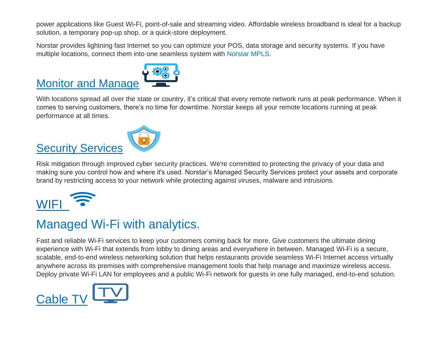power applications like Guest Wi-Fi, point-of-sale and streaming video. Affordable wireless broadband is ideal for a backup solution, a temporary pop-up shop, or a quick-store deployment.

Norstar provides lightning fast Internet so you can optimize your POS, data storage and security systems. If you have multiple locations, connect them into one seamless system with Norstar MPLS.

## **Monitor and Manage**



With locations spread all over the state or country, it's critical that every remote network runs at peak performance. When it comes to serving customers, there's no time for downtime. Norstar keeps all your remote locations running at peak performance at all times.

## **Security Services**



Risk mitigation through improved cyber security practices. We're committed to protecting the privacy of your data and making sure you control how and where it's used. Norstar's Managed Security Services protect your assets and corporate brand by restricting access to your network while protecting against viruses, malware and intrusions.



## Managed Wi-Fi with analytics.

Fast and reliable Wi-Fi services to keep your customers coming back for more. Give customers the ultimate dining experience with Wi-Fi that extends from lobby to dining areas and everywhere in between. Managed Wi-Fi is a secure, scalable, end-to-end wireless networking solution that helps restaurants provide seamless Wi-Fi Internet access virtually anywhere across its premises with comprehensive management tools that help manage and maximize wireless access. Deploy private Wi-Fi LAN for employees and a public Wi-Fi network for guests in one fully managed, end-to-end solution.

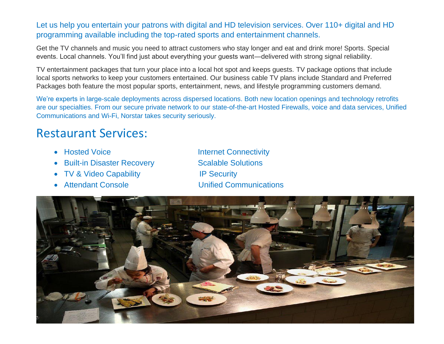Let us help you entertain your patrons with digital and HD television services. Over 110+ digital and HD programming available including the top-rated sports and entertainment channels.

Get the TV channels and music you need to attract customers who stay longer and eat and drink more! Sports. Special events. Local channels. You'll find just about everything your guests want—delivered with strong signal reliability.

TV entertainment packages that turn your place into a local hot spot and keeps guests. TV package options that include local sports networks to keep your customers entertained. Our business cable TV plans include Standard and Preferred Packages both feature the most popular sports, entertainment, news, and lifestyle programming customers demand.

We're experts in large-scale deployments across dispersed locations. Both new location openings and technology retrofits are our specialties. From our secure private network to our state-of-the-art Hosted Firewalls, voice and data services, Unified Communications and Wi-Fi, Norstar takes security seriously.

### Restaurant Services:

- 
- **Built-in Disaster Recovery Scalable Solutions**
- **TV & Video Capability IP Security**
- 

• Hosted Voice Internet Connectivity • Attendant Console Unified Communications